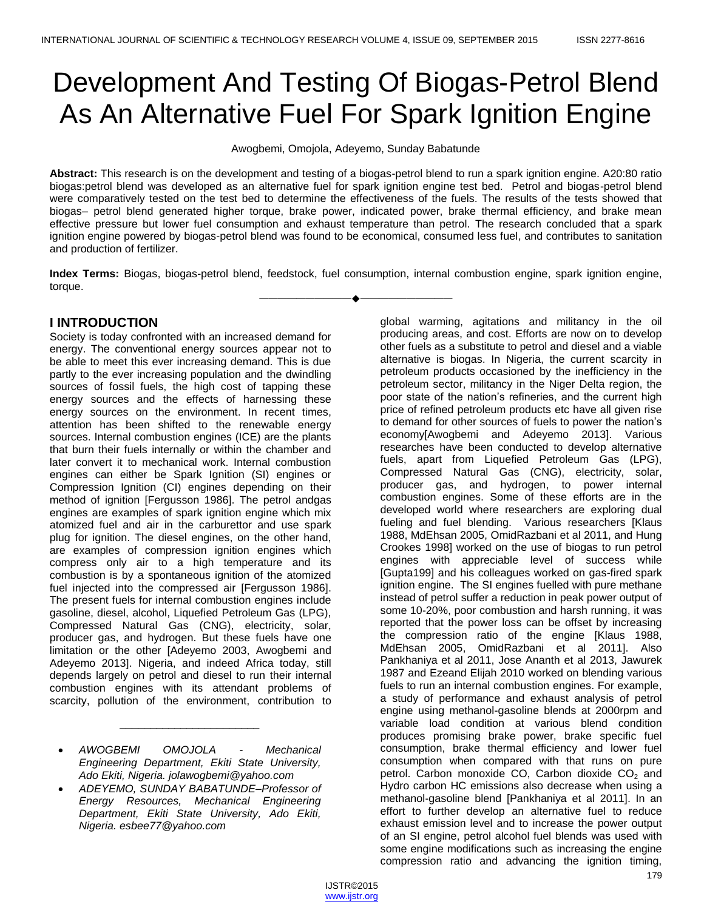# Development And Testing Of Biogas-Petrol Blend As An Alternative Fuel For Spark Ignition Engine

Awogbemi, Omojola, Adeyemo, Sunday Babatunde

**Abstract:** This research is on the development and testing of a biogas-petrol blend to run a spark ignition engine. A20:80 ratio biogas:petrol blend was developed as an alternative fuel for spark ignition engine test bed. Petrol and biogas-petrol blend were comparatively tested on the test bed to determine the effectiveness of the fuels. The results of the tests showed that biogas– petrol blend generated higher torque, brake power, indicated power, brake thermal efficiency, and brake mean effective pressure but lower fuel consumption and exhaust temperature than petrol. The research concluded that a spark ignition engine powered by biogas-petrol blend was found to be economical, consumed less fuel, and contributes to sanitation and production of fertilizer.

**Index Terms:** Biogas, biogas-petrol blend, feedstock, fuel consumption, internal combustion engine, spark ignition engine, torque. ————————————————————

# **I INTRODUCTION**

Society is today confronted with an increased demand for energy. The conventional energy sources appear not to be able to meet this ever increasing demand. This is due partly to the ever increasing population and the dwindling sources of fossil fuels, the high cost of tapping these energy sources and the effects of harnessing these energy sources on the environment. In recent times, attention has been shifted to the renewable energy sources. Internal combustion engines (ICE) are the plants that burn their fuels internally or within the chamber and later convert it to mechanical work. Internal combustion engines can either be Spark Ignition (SI) engines or Compression Ignition (CI) engines depending on their method of ignition [Fergusson 1986]. The petrol andgas engines are examples of spark ignition engine which mix atomized fuel and air in the carburettor and use spark plug for ignition. The diesel engines, on the other hand, are examples of compression ignition engines which compress only air to a high temperature and its combustion is by a spontaneous ignition of the atomized fuel injected into the compressed air [Fergusson 1986]. The present fuels for internal combustion engines include gasoline, diesel, alcohol, Liquefied Petroleum Gas (LPG), Compressed Natural Gas (CNG), electricity, solar, producer gas, and hydrogen. But these fuels have one limitation or the other [Adeyemo 2003, Awogbemi and Adeyemo 2013]. Nigeria, and indeed Africa today, still depends largely on petrol and diesel to run their internal combustion engines with its attendant problems of scarcity, pollution of the environment, contribution to

 *AWOGBEMI OMOJOLA - Mechanical Engineering Department, Ekiti State University, Ado Ekiti, Nigeria. jolawogbemi@yahoo.com*

\_\_\_\_\_\_\_\_\_\_\_\_\_\_\_\_\_\_\_\_\_\_\_

 *ADEYEMO, SUNDAY BABATUNDE–Professor of Energy Resources, Mechanical Engineering Department, Ekiti State University, Ado Ekiti, Nigeria. esbee77@yahoo.com*

global warming, agitations and militancy in the oil producing areas, and cost. Efforts are now on to develop other fuels as a substitute to petrol and diesel and a viable alternative is biogas. In Nigeria, the current scarcity in petroleum products occasioned by the inefficiency in the petroleum sector, militancy in the Niger Delta region, the poor state of the nation's refineries, and the current high price of refined petroleum products etc have all given rise to demand for other sources of fuels to power the nation's economy[Awogbemi and Adeyemo 2013]. Various researches have been conducted to develop alternative fuels, apart from Liquefied Petroleum Gas (LPG), Compressed Natural Gas (CNG), electricity, solar, producer gas, and hydrogen, to power internal combustion engines. Some of these efforts are in the developed world where researchers are exploring dual fueling and fuel blending. Various researchers [Klaus 1988, MdEhsan 2005, OmidRazbani et al 2011, and Hung Crookes 1998] worked on the use of biogas to run petrol engines with appreciable level of success while [Gupta199] and his colleagues worked on gas-fired spark ignition engine. The SI engines fuelled with pure methane instead of petrol suffer a reduction in peak power output of some 10-20%, poor combustion and harsh running, it was reported that the power loss can be offset by increasing the compression ratio of the engine [Klaus 1988, MdEhsan 2005, OmidRazbani et al 2011]. Also Pankhaniya et al 2011, Jose Ananth et al 2013, Jawurek 1987 and Ezeand Elijah 2010 worked on blending various fuels to run an internal combustion engines. For example, a study of performance and exhaust analysis of petrol engine using methanol-gasoline blends at 2000rpm and variable load condition at various blend condition produces promising brake power, brake specific fuel consumption, brake thermal efficiency and lower fuel consumption when compared with that runs on pure petrol. Carbon monoxide CO, Carbon dioxide  $CO<sub>2</sub>$  and Hydro carbon HC emissions also decrease when using a methanol-gasoline blend [Pankhaniya et al 2011]. In an effort to further develop an alternative fuel to reduce exhaust emission level and to increase the power output of an SI engine, petrol alcohol fuel blends was used with some engine modifications such as increasing the engine compression ratio and advancing the ignition timing,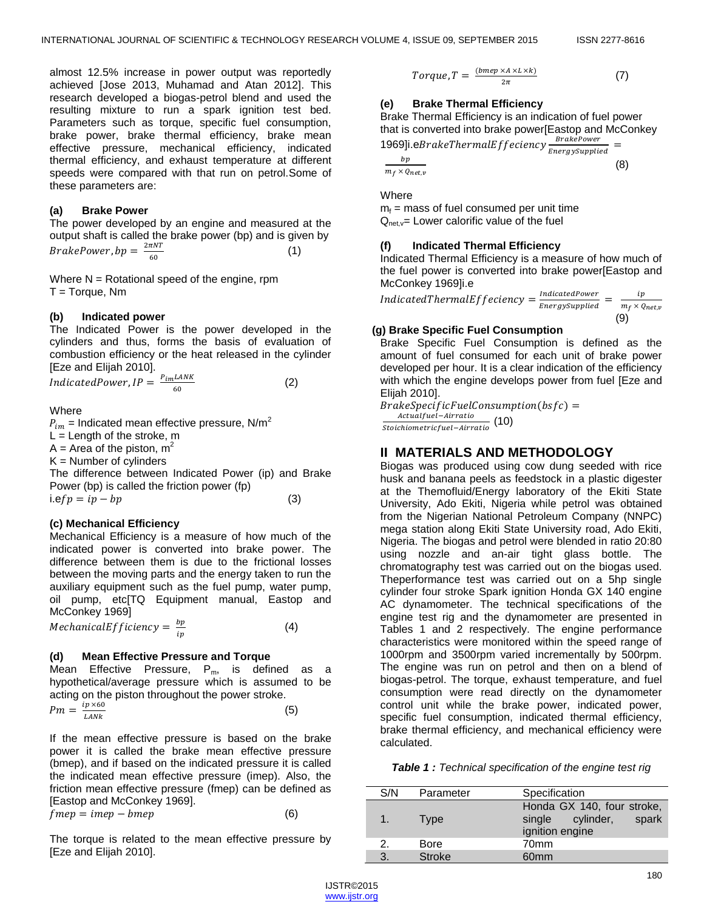almost 12.5% increase in power output was reportedly achieved [Jose 2013, Muhamad and Atan 2012]. This research developed a biogas-petrol blend and used the resulting mixture to run a spark ignition test bed. Parameters such as torque, specific fuel consumption, brake power, brake thermal efficiency, brake mean effective pressure, mechanical efficiency, indicated thermal efficiency, and exhaust temperature at different speeds were compared with that run on petrol.Some of these parameters are:

#### **(a) Brake Power**

The power developed by an engine and measured at the output shaft is called the brake power (bp) and is given by *BrakePower, bp* =  $\frac{2}{3}$ 6 (1)

Where  $N = Rotational speed of the engine, rpm$  $T = Torque, Nm$ 

#### **(b) Indicated power**

The Indicated Power is the power developed in the cylinders and thus, forms the basis of evaluation of combustion efficiency or the heat released in the cylinder [Eze and Elijah 2010].

$$
Indicated Power, IP = \frac{P_{im}LANK}{60}
$$
 (2)

Where

 $P_{im}$  = Indicated mean effective pressure, N/m<sup>2</sup>  $L =$  Length of the stroke, m  $A =$  Area of the piston,  $m<sup>2</sup>$  $K =$  Number of cylinders The difference between Indicated Power (ip) and Brake Power (bp) is called the friction power (fp)  $i.efp = ip - bp$  (3)

#### **(c) Mechanical Efficiency**

Mechanical Efficiency is a measure of how much of the indicated power is converted into brake power. The difference between them is due to the frictional losses between the moving parts and the energy taken to run the auxiliary equipment such as the fuel pump, water pump, oil pump, etc[TQ Equipment manual, Eastop and McConkey 1969]

*MechanicalEfficiency* = 
$$
\frac{bp}{ip}
$$
 (4)

#### **(d) Mean Effective Pressure and Torque**

Mean Effective Pressure,  $P_m$ , is defined as a hypothetical/average pressure which is assumed to be acting on the piston throughout the power stroke.

$$
Pm = \frac{ip \times 60}{LANk} \tag{5}
$$

If the mean effective pressure is based on the brake power it is called the brake mean effective pressure (bmep), and if based on the indicated pressure it is called the indicated mean effective pressure (imep). Also, the friction mean effective pressure (fmep) can be defined as [Eastop and McConkey 1969].  $fmep = imep - bmep$  (6)

The torque is related to the mean effective pressure by [Eze and Elijah 2010].

$$
Torque, T = \frac{(bmep \times A \times L \times k)}{2\pi} \tag{7}
$$

# **(e) Brake Thermal Efficiency**

Brake Thermal Efficiency is an indication of fuel power that is converted into brake power[Eastop and McConkey 1969]i.eBrakeThermalEffeciency  $\frac{B\text{H}}{B\text{H}}$  =

$$
\frac{bp}{m_f \times q_{net,v}}
$$
 (8)

Where

 $m_f$  = mass of fuel consumed per unit time  $Q_{net,v}=$  Lower calorific value of the fuel

#### **(f) Indicated Thermal Efficiency**

Indicated Thermal Efficiency is a measure of how much of the fuel power is converted into brake power[Eastop and McConkey 1969]i.e

*IndicatedThermalEffeciency* =  $\frac{l}{t}$  $\frac{IndicatedPower}{Energy supplied} = \frac{i}{m_f \times n}$ m  $(9)$ 

#### **(g) Brake Specific Fuel Consumption**

Brake Specific Fuel Consumption is defined as the amount of fuel consumed for each unit of brake power developed per hour. It is a clear indication of the efficiency with which the engine develops power from fuel [Eze and Elijah 2010].

 $Brake SpecificFuel Consumption(bsfc) =$ A *Actual det-Attracto* (10)<br>*Stoichiometricfuel-Airratio* (10)

# **II MATERIALS AND METHODOLOGY**

Biogas was produced using cow dung seeded with rice husk and banana peels as feedstock in a plastic digester at the Themofluid/Energy laboratory of the Ekiti State University, Ado Ekiti, Nigeria while petrol was obtained from the Nigerian National Petroleum Company (NNPC) mega station along Ekiti State University road, Ado Ekiti, Nigeria. The biogas and petrol were blended in ratio 20:80 using nozzle and an-air tight glass bottle. The chromatography test was carried out on the biogas used. Theperformance test was carried out on a 5hp single cylinder four stroke Spark ignition Honda GX 140 engine AC dynamometer. The technical specifications of the engine test rig and the dynamometer are presented in Tables 1 and 2 respectively. The engine performance characteristics were monitored within the speed range of 1000rpm and 3500rpm varied incrementally by 500rpm. The engine was run on petrol and then on a blend of biogas-petrol. The torque, exhaust temperature, and fuel consumption were read directly on the dynamometer control unit while the brake power, indicated power, specific fuel consumption, indicated thermal efficiency, brake thermal efficiency, and mechanical efficiency were calculated.

| Table 1 : Technical specification of the engine test rig |
|----------------------------------------------------------|
|----------------------------------------------------------|

| S/N           | Parameter     | Specification                                                                 |
|---------------|---------------|-------------------------------------------------------------------------------|
| $1_{-}$       | Type          | Honda GX 140, four stroke,<br>spark<br>cylinder,<br>single<br>ignition engine |
| $\mathcal{P}$ | Bore          | 70mm                                                                          |
| 3.            | <b>Stroke</b> | 60 <sub>mm</sub>                                                              |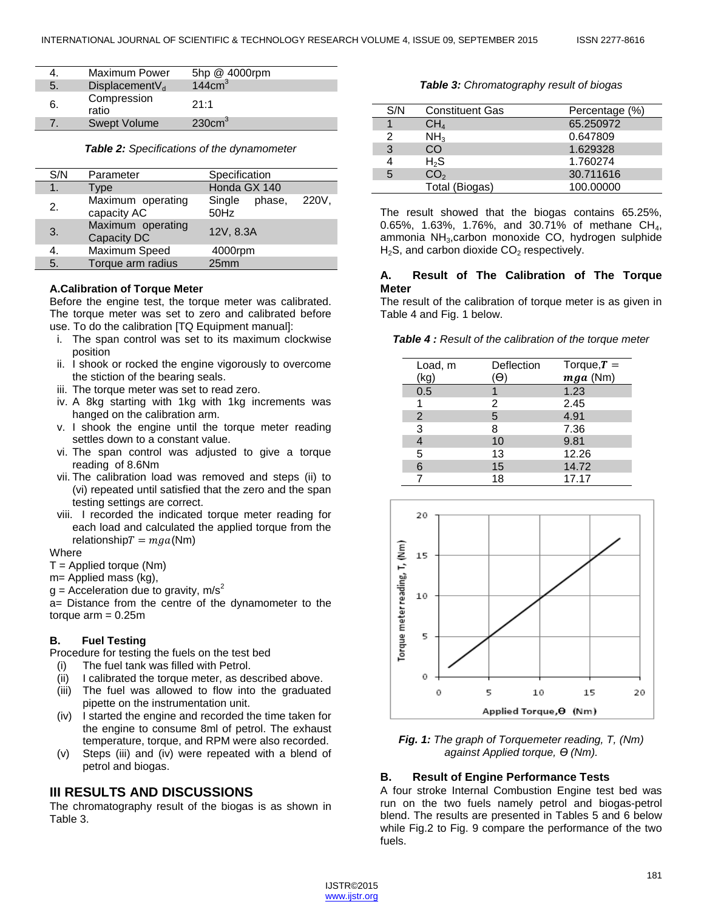|    | <b>Maximum Power</b>       | 5hp @ 4000rpm      |
|----|----------------------------|--------------------|
| 5. | DisplacementV <sub>d</sub> | 144cm <sup>3</sup> |
| 6. | Compression<br>ratio       | 21:1               |
|    | Swept Volume               | 230cm <sup>3</sup> |

*Table 2: Specifications of the dynamometer*

| S/N           | Parameter                        | Specification                     |
|---------------|----------------------------------|-----------------------------------|
| $\mathbf 1$ . | Type                             | Honda GX 140                      |
| 2.            | Maximum operating<br>capacity AC | 220V,<br>Single<br>phase,<br>50Hz |
| 3.            | Maximum operating<br>Capacity DC | 12V, 8.3A                         |
| 4.            | Maximum Speed                    | 4000rpm                           |
| 5.            | Torque arm radius                | 25 <sub>mm</sub>                  |

#### **A.Calibration of Torque Meter**

Before the engine test, the torque meter was calibrated. The torque meter was set to zero and calibrated before use. To do the calibration [TQ Equipment manual]:

- i. The span control was set to its maximum clockwise position
- ii. I shook or rocked the engine vigorously to overcome the stiction of the bearing seals.
- iii. The torque meter was set to read zero.
- iv. A 8kg starting with 1kg with 1kg increments was hanged on the calibration arm.
- v. I shook the engine until the torque meter reading settles down to a constant value.
- vi. The span control was adjusted to give a torque reading of 8.6Nm
- vii. The calibration load was removed and steps (ii) to (vi) repeated until satisfied that the zero and the span testing settings are correct.
- viii. I recorded the indicated torque meter reading for each load and calculated the applied torque from the relationship  $T = mga(Nm)$

#### **Where**

- $T =$  Applied torque (Nm)
- m= Applied mass (kg),
- $g =$  Acceleration due to gravity, m/s<sup>2</sup>

a= Distance from the centre of the dynamometer to the torque  $arm = 0.25m$ 

# **B. Fuel Testing**

Procedure for testing the fuels on the test bed

- (i) The fuel tank was filled with Petrol.
- (ii) I calibrated the torque meter, as described above.
- (iii) The fuel was allowed to flow into the graduated pipette on the instrumentation unit.
- (iv) I started the engine and recorded the time taken for the engine to consume 8ml of petrol. The exhaust temperature, torque, and RPM were also recorded.
- (v) Steps (iii) and (iv) were repeated with a blend of petrol and biogas.

# **III RESULTS AND DISCUSSIONS**

The chromatography result of the biogas is as shown in Table 3.

*Table 3: Chromatography result of biogas*

| S/N | <b>Constituent Gas</b> | Percentage (%) |
|-----|------------------------|----------------|
|     | $CH_4$                 | 65.250972      |
|     | NH <sub>3</sub>        | 0.647809       |
| 3   | CO                     | 1.629328       |
|     | $H_{2}S$               | 1.760274       |
|     | CO <sub>2</sub>        | 30.711616      |
|     | Total (Biogas)         | 100.00000      |

The result showed that the biogas contains 65.25%, 0.65%, 1.63%, 1.76%, and 30.71% of methane CH<sub>4</sub>, ammonia NH3,carbon monoxide CO, hydrogen sulphide  $H<sub>2</sub>S$ , and carbon dioxide  $CO<sub>2</sub>$  respectively.

# **A. Result of The Calibration of The Torque Meter**

The result of the calibration of torque meter is as given in Table 4 and Fig. 1 below.

#### *Table 4 : Result of the calibration of the torque meter*

| Load, m<br>(kg) | Deflection | Torque, $T =$<br>$mga$ (Nm) |
|-----------------|------------|-----------------------------|
| 0.5             |            | 1.23                        |
|                 | 2          | 2.45                        |
| 2               | 5          | 4.91                        |
| 3               | 8          | 7.36                        |
|                 | 10         | 9.81                        |
| 5               | 13         | 12.26                       |
| 6               | 15         | 14.72                       |
|                 | 18         | 17.17                       |



*Fig. 1: The graph of Torquemeter reading, T, (Nm) against Applied torque, Ө (Nm).*

# **B. Result of Engine Performance Tests**

A four stroke Internal Combustion Engine test bed was run on the two fuels namely petrol and biogas-petrol blend. The results are presented in Tables 5 and 6 below while Fig.2 to Fig. 9 compare the performance of the two fuels.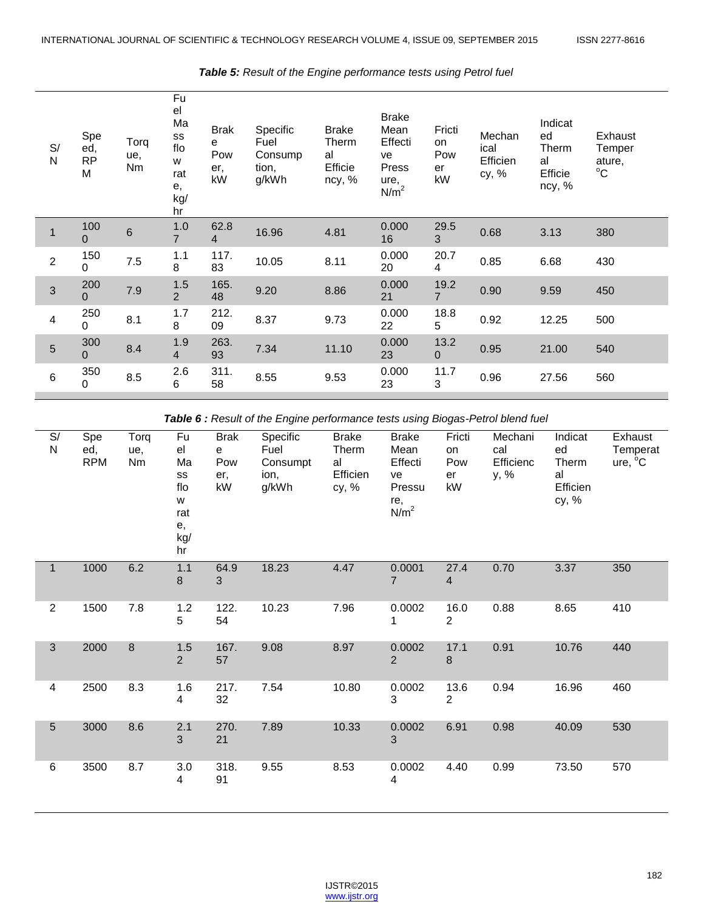| S/<br>${\sf N}$ | Spe<br>ed,<br><b>RP</b><br>M | Torq<br>ue,<br>Nm | Fu<br>el<br>Ma<br>SS<br>flo<br>W<br>rat<br>е,<br>kg/<br>hr | <b>Brak</b><br>$\mathbf{e}$<br>Pow<br>er,<br>kW | Specific<br>Fuel<br>Consump<br>tion,<br>g/kWh | <b>Brake</b><br>Therm<br>al<br>Efficie<br>ncy, % | <b>Brake</b><br>Mean<br>Effecti<br>ve<br>Press<br>ure,<br>N/m <sup>2</sup> | Fricti<br>on<br>Pow<br>er<br>kW | Mechan<br>ical<br>Efficien<br>cy, % | Indicat<br>ed<br>Therm<br>al<br>Efficie<br>ncy, % | Exhaust<br>Temper<br>ature,<br>$^{\circ}$ C |
|-----------------|------------------------------|-------------------|------------------------------------------------------------|-------------------------------------------------|-----------------------------------------------|--------------------------------------------------|----------------------------------------------------------------------------|---------------------------------|-------------------------------------|---------------------------------------------------|---------------------------------------------|
|                 | 100<br>$\Omega$              | 6                 | 1.0<br>$\overline{7}$                                      | 62.8<br>$\overline{4}$                          | 16.96                                         | 4.81                                             | 0.000<br>16                                                                | 29.5<br>3                       | 0.68                                | 3.13                                              | 380                                         |
| $\overline{2}$  | 150<br>0                     | 7.5               | 1.1<br>8                                                   | 117.<br>83                                      | 10.05                                         | 8.11                                             | 0.000<br>20                                                                | 20.7<br>4                       | 0.85                                | 6.68                                              | 430                                         |
| 3               | 200<br>$\Omega$              | 7.9               | 1.5<br>$\overline{2}$                                      | 165.<br>48                                      | 9.20                                          | 8.86                                             | 0.000<br>21                                                                | 19.2<br>$\overline{7}$          | 0.90                                | 9.59                                              | 450                                         |
| 4               | 250<br>0                     | 8.1               | 1.7<br>8                                                   | 212.<br>09                                      | 8.37                                          | 9.73                                             | 0.000<br>22                                                                | 18.8<br>5                       | 0.92                                | 12.25                                             | 500                                         |
| 5               | 300<br>$\Omega$              | 8.4               | 1.9<br>$\overline{4}$                                      | 263.<br>93                                      | 7.34                                          | 11.10                                            | 0.000<br>23                                                                | 13.2<br>$\mathbf{0}$            | 0.95                                | 21.00                                             | 540                                         |
| 6               | 350<br>$\Omega$              | 8.5               | 2.6<br>6                                                   | 311.<br>58                                      | 8.55                                          | 9.53                                             | 0.000<br>23                                                                | 11.7<br>3                       | 0.96                                | 27.56                                             | 560                                         |

### *Table 5: Result of the Engine performance tests using Petrol fuel*

*Table 6 : Result of the Engine performance tests using Biogas-Petrol blend fuel*

| S/<br>$\mathsf{N}$      | Spe<br>ed,<br><b>RPM</b> | Torq<br>ue,<br>Nm | Fu<br>el<br>Ma<br>SS<br>flo<br>W<br>rat<br>е,<br>kg/<br>hr | <b>Brak</b><br>e<br>Pow<br>er,<br>kW | Specific<br>Fuel<br>Consumpt<br>ion,<br>g/kWh | <b>Brake</b><br>Therm<br>al<br>Efficien<br>cy, % | <b>Brake</b><br>Mean<br>Effecti<br>ve<br>Pressu<br>re,<br>N/m <sup>2</sup> | Fricti<br>on<br>Pow<br>er<br>kW | Mechani<br>cal<br>Efficienc<br>y, % | Indicat<br>ed<br>Therm<br>al<br>Efficien<br>cy, % | Exhaust<br>Temperat<br>ure, <sup>o</sup> C |
|-------------------------|--------------------------|-------------------|------------------------------------------------------------|--------------------------------------|-----------------------------------------------|--------------------------------------------------|----------------------------------------------------------------------------|---------------------------------|-------------------------------------|---------------------------------------------------|--------------------------------------------|
|                         | 1000                     | 6.2               | 1.1<br>8                                                   | 64.9<br>3                            | 18.23                                         | 4.47                                             | 0.0001<br>$\overline{7}$                                                   | 27.4<br>$\overline{4}$          | 0.70                                | 3.37                                              | 350                                        |
| $\overline{2}$          | 1500                     | 7.8               | 1.2<br>5                                                   | 122.<br>54                           | 10.23                                         | 7.96                                             | 0.0002<br>1                                                                | 16.0<br>$\overline{2}$          | 0.88                                | 8.65                                              | 410                                        |
| 3                       | 2000                     | 8                 | 1.5<br>$\overline{2}$                                      | 167.<br>57                           | 9.08                                          | 8.97                                             | 0.0002<br>$\overline{2}$                                                   | 17.1<br>$\,8\,$                 | 0.91                                | 10.76                                             | 440                                        |
| $\overline{\mathbf{4}}$ | 2500                     | 8.3               | 1.6<br>4                                                   | 217.<br>32                           | 7.54                                          | 10.80                                            | 0.0002<br>3                                                                | 13.6<br>$\overline{2}$          | 0.94                                | 16.96                                             | 460                                        |
| 5                       | 3000                     | 8.6               | 2.1<br>3                                                   | 270.<br>21                           | 7.89                                          | 10.33                                            | 0.0002<br>$\mathfrak{S}$                                                   | 6.91                            | 0.98                                | 40.09                                             | 530                                        |
| 6                       | 3500                     | 8.7               | 3.0<br>4                                                   | 318.<br>91                           | 9.55                                          | 8.53                                             | 0.0002<br>$\overline{4}$                                                   | 4.40                            | 0.99                                | 73.50                                             | 570                                        |

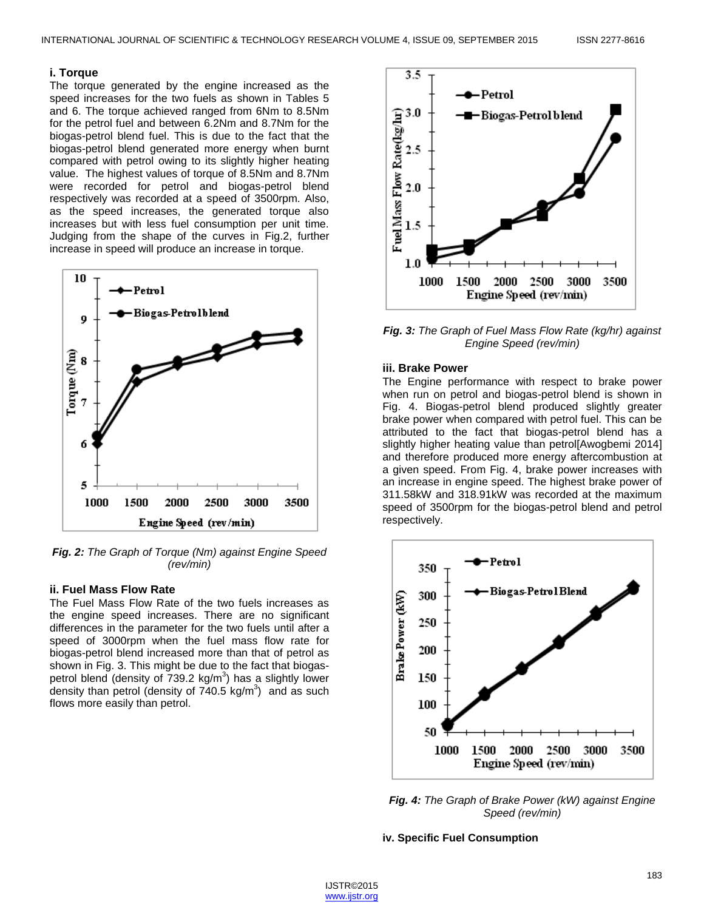#### **i. Torque**

The torque generated by the engine increased as the speed increases for the two fuels as shown in Tables 5 and 6. The torque achieved ranged from 6Nm to 8.5Nm for the petrol fuel and between 6.2Nm and 8.7Nm for the biogas-petrol blend fuel. This is due to the fact that the biogas-petrol blend generated more energy when burnt compared with petrol owing to its slightly higher heating value. The highest values of torque of 8.5Nm and 8.7Nm were recorded for petrol and biogas-petrol blend respectively was recorded at a speed of 3500rpm. Also, as the speed increases, the generated torque also increases but with less fuel consumption per unit time. Judging from the shape of the curves in Fig.2, further increase in speed will produce an increase in torque.



*Fig. 2: The Graph of Torque (Nm) against Engine Speed (rev/min)*

#### **ii. Fuel Mass Flow Rate**

The Fuel Mass Flow Rate of the two fuels increases as the engine speed increases. There are no significant differences in the parameter for the two fuels until after a speed of 3000rpm when the fuel mass flow rate for biogas-petrol blend increased more than that of petrol as shown in Fig. 3. This might be due to the fact that biogaspetrol blend (density of  $739.2 \text{ kg/m}^3$ ) has a slightly lower density than petrol (density of  $740.5$  kg/m<sup>3</sup>) and as such flows more easily than petrol.



*Fig. 3: The Graph of Fuel Mass Flow Rate (kg/hr) against Engine Speed (rev/min)*

# **iii. Brake Power**

The Engine performance with respect to brake power when run on petrol and biogas-petrol blend is shown in Fig. 4. Biogas-petrol blend produced slightly greater brake power when compared with petrol fuel. This can be attributed to the fact that biogas-petrol blend has a slightly higher heating value than petrol[Awogbemi 2014] and therefore produced more energy aftercombustion at a given speed. From Fig. 4, brake power increases with an increase in engine speed. The highest brake power of 311.58kW and 318.91kW was recorded at the maximum speed of 3500rpm for the biogas-petrol blend and petrol respectively.



*Fig. 4: The Graph of Brake Power (kW) against Engine Speed (rev/min)*

#### **iv. Specific Fuel Consumption**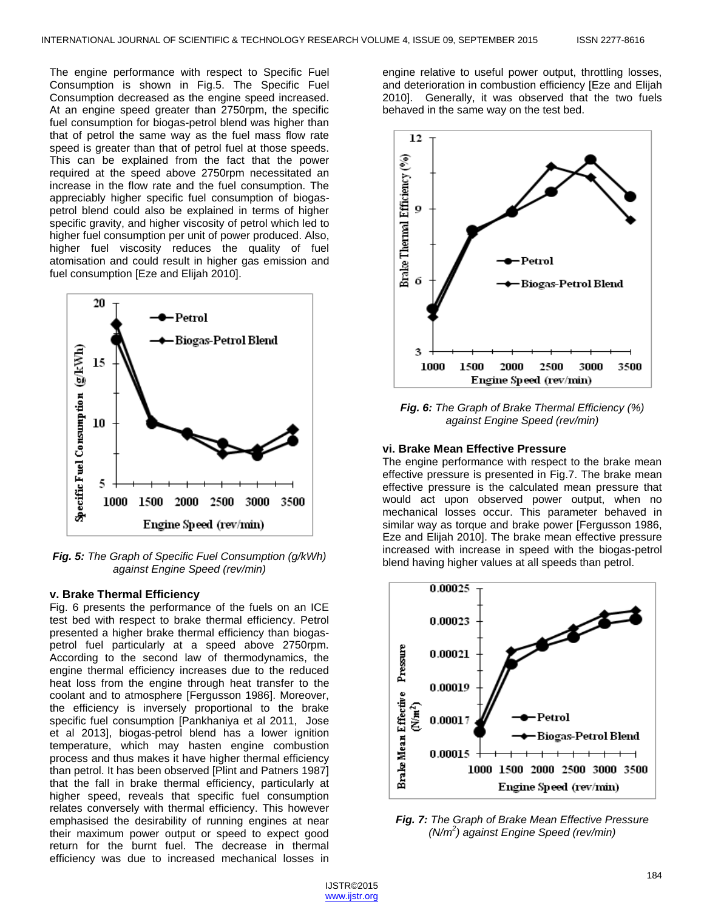The engine performance with respect to Specific Fuel Consumption is shown in Fig.5. The Specific Fuel Consumption decreased as the engine speed increased. At an engine speed greater than 2750rpm, the specific fuel consumption for biogas-petrol blend was higher than that of petrol the same way as the fuel mass flow rate speed is greater than that of petrol fuel at those speeds. This can be explained from the fact that the power required at the speed above 2750rpm necessitated an increase in the flow rate and the fuel consumption. The appreciably higher specific fuel consumption of biogaspetrol blend could also be explained in terms of higher specific gravity, and higher viscosity of petrol which led to higher fuel consumption per unit of power produced. Also, higher fuel viscosity reduces the quality of fuel atomisation and could result in higher gas emission and fuel consumption [Eze and Elijah 2010].



*Fig. 5: The Graph of Specific Fuel Consumption (g/kWh) against Engine Speed (rev/min)*

## **v. Brake Thermal Efficiency**

Fig. 6 presents the performance of the fuels on an ICE test bed with respect to brake thermal efficiency. Petrol presented a higher brake thermal efficiency than biogaspetrol fuel particularly at a speed above 2750rpm. According to the second law of thermodynamics, the engine thermal efficiency increases due to the reduced heat loss from the engine through heat transfer to the coolant and to atmosphere [Fergusson 1986]. Moreover, the efficiency is inversely proportional to the brake specific fuel consumption [Pankhaniya et al 2011, Jose et al 2013], biogas-petrol blend has a lower ignition temperature, which may hasten engine combustion process and thus makes it have higher thermal efficiency than petrol. It has been observed [Plint and Patners 1987] that the fall in brake thermal efficiency, particularly at higher speed, reveals that specific fuel consumption relates conversely with thermal efficiency. This however emphasised the desirability of running engines at near their maximum power output or speed to expect good return for the burnt fuel. The decrease in thermal efficiency was due to increased mechanical losses in

engine relative to useful power output, throttling losses, and deterioration in combustion efficiency [Eze and Elijah 2010]. Generally, it was observed that the two fuels behaved in the same way on the test bed.



*Fig. 6: The Graph of Brake Thermal Efficiency (%) against Engine Speed (rev/min)*

#### **vi. Brake Mean Effective Pressure**

The engine performance with respect to the brake mean effective pressure is presented in Fig.7. The brake mean effective pressure is the calculated mean pressure that would act upon observed power output, when no mechanical losses occur. This parameter behaved in similar way as torque and brake power [Fergusson 1986, Eze and Elijah 2010]. The brake mean effective pressure increased with increase in speed with the biogas-petrol blend having higher values at all speeds than petrol.



*Fig. 7: The Graph of Brake Mean Effective Pressure (N/m<sup>2</sup> ) against Engine Speed (rev/min)*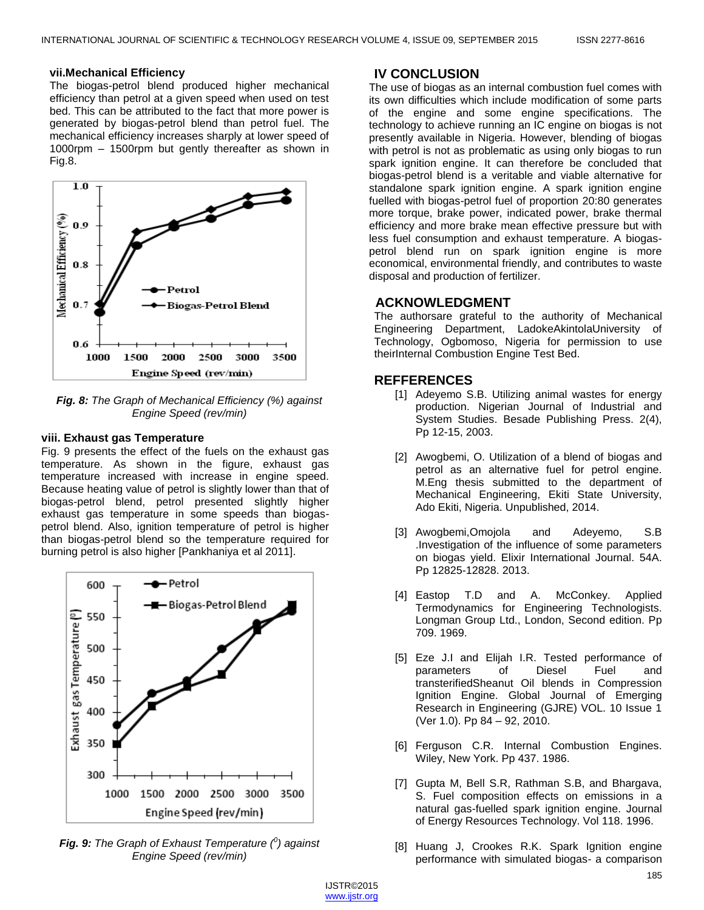#### **vii.Mechanical Efficiency**

The biogas-petrol blend produced higher mechanical efficiency than petrol at a given speed when used on test bed. This can be attributed to the fact that more power is generated by biogas-petrol blend than petrol fuel. The mechanical efficiency increases sharply at lower speed of 1000rpm – 1500rpm but gently thereafter as shown in Fig.8.



*Fig. 8: The Graph of Mechanical Efficiency (%) against Engine Speed (rev/min)*

#### **viii. Exhaust gas Temperature**

Fig. 9 presents the effect of the fuels on the exhaust gas temperature. As shown in the figure, exhaust gas temperature increased with increase in engine speed. Because heating value of petrol is slightly lower than that of biogas-petrol blend, petrol presented slightly higher exhaust gas temperature in some speeds than biogaspetrol blend. Also, ignition temperature of petrol is higher than biogas-petrol blend so the temperature required for burning petrol is also higher [Pankhaniya et al 2011].



*Fig. 9: The Graph of Exhaust Temperature (<sup>0</sup> ) against Engine Speed (rev/min)*

# **IV CONCLUSION**

The use of biogas as an internal combustion fuel comes with its own difficulties which include modification of some parts of the engine and some engine specifications. The technology to achieve running an IC engine on biogas is not presently available in Nigeria. However, blending of biogas with petrol is not as problematic as using only biogas to run spark ignition engine. It can therefore be concluded that biogas-petrol blend is a veritable and viable alternative for standalone spark ignition engine. A spark ignition engine fuelled with biogas-petrol fuel of proportion 20:80 generates more torque, brake power, indicated power, brake thermal efficiency and more brake mean effective pressure but with less fuel consumption and exhaust temperature. A biogaspetrol blend run on spark ignition engine is more economical, environmental friendly, and contributes to waste disposal and production of fertilizer.

# **ACKNOWLEDGMENT**

The authorsare grateful to the authority of Mechanical Engineering Department, LadokeAkintolaUniversity of Technology, Ogbomoso, Nigeria for permission to use theirInternal Combustion Engine Test Bed.

#### **REFFERENCES**

- [1] Adeyemo S.B. Utilizing animal wastes for energy production. Nigerian Journal of Industrial and System Studies. Besade Publishing Press. 2(4), Pp 12-15, 2003.
- [2] Awogbemi, O. Utilization of a blend of biogas and petrol as an alternative fuel for petrol engine. M.Eng thesis submitted to the department of Mechanical Engineering, Ekiti State University, Ado Ekiti, Nigeria. Unpublished, 2014.
- [3] Awogbemi,Omojola and Adeyemo, S.B .Investigation of the influence of some parameters on biogas yield. Elixir International Journal. 54A. Pp 12825-12828. 2013.
- [4] Eastop T.D and A. McConkey. Applied Termodynamics for Engineering Technologists. Longman Group Ltd., London, Second edition. Pp 709. 1969.
- [5] Eze J.I and Elijah I.R. Tested performance of parameters of Diesel Fuel and transterifiedSheanut Oil blends in Compression Ignition Engine. Global Journal of Emerging Research in Engineering (GJRE) VOL. 10 Issue 1 (Ver 1.0). Pp 84 – 92, 2010.
- [6] Ferguson C.R. Internal Combustion Engines. Wiley, New York. Pp 437. 1986.
- [7] Gupta M, Bell S.R, Rathman S.B, and Bhargava, S. Fuel composition effects on emissions in a natural gas-fuelled spark ignition engine. Journal of Energy Resources Technology. Vol 118. 1996.
- [8] Huang J, Crookes R.K. Spark Ignition engine performance with simulated biogas- a comparison